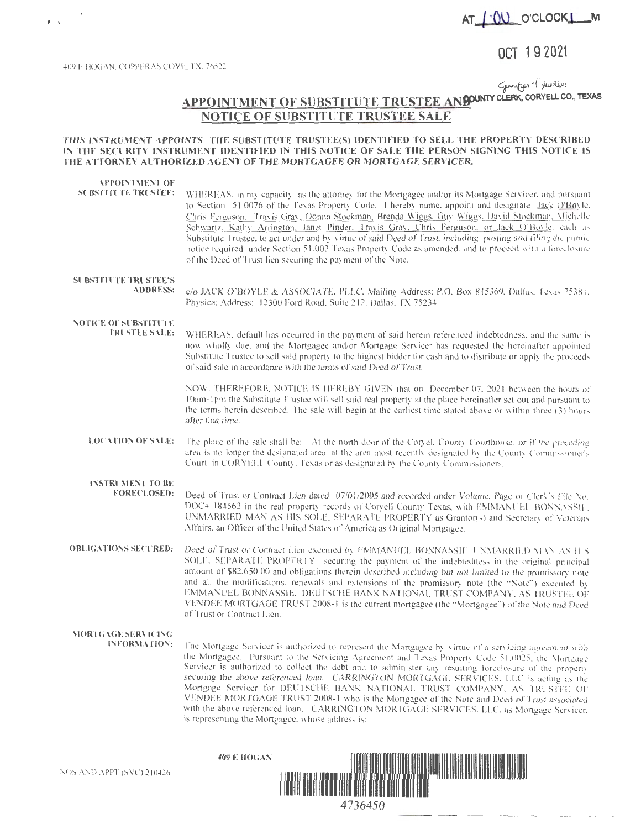

### OCT 1 9 2021

409 E HOGAN. COPPERAS COVE. TX. 76522

Surveyor + twitten

### **APPOINTMENT OF SUBSTITUTE TRUSTEE ANDOUNTY CLERK, CORYELL CO., TEXAS NOTICE OF SUBSTITUTE TRUSTEE SALE**

#### THIS INSTRUMENT APPOINTS THE SUBSTITUTE TRUSTEE(S) IDENTIFIED TO SELL THE PROPERTY DESCRIBED IN THE SECURITY INSTRUMENT IDENTIFIED IN THIS NOTICE OF SALE THE PERSON SIGNING THIS NOTICE IS **THE ATTORNEY AUTHORIZED AGENT OF THE MORTGAGEE OR MORTGAGE SERVICER.**

| APPOINTMENT OF<br><b>SUBSTITUTE TRUSTEE:</b>   | WHEREAS, in my capacity as the attorney for the Mortgagee and/or its Mortgage Servicer, and pursuant<br>to Section 51.0076 of the Texas Property Code, 1 hereby name, appoint and designate Jack O'Boyle,<br>Chris Ferguson, Travis Gray, Donna Stockman, Brenda Wiggs, Guy Wiggs, David Stockman, Michelle<br>Schwartz, Kathy Arrington, Janet Pinder, Travis Gray, Chris Ferguson, or Jack O'Boyle, each as<br>Substitute Frustee, to act under and by virtue of said Deed of Trust, including posting and filing the public<br>notice required under Section 51.002 Texas Property Code as amended, and to proceed with a foreclosure<br>of the Deed of Trust lien securing the payment of the Note. |
|------------------------------------------------|---------------------------------------------------------------------------------------------------------------------------------------------------------------------------------------------------------------------------------------------------------------------------------------------------------------------------------------------------------------------------------------------------------------------------------------------------------------------------------------------------------------------------------------------------------------------------------------------------------------------------------------------------------------------------------------------------------|
| <b>SUBSTITUTE TRUSTEE'S</b><br><b>ADDRESS:</b> | c/o JACK O'BOYLE & ASSOCIATE, PLLC, Mailing Address: P.O. Box 815369, Dallas, Texas 75381,<br>Physical Address: 12300 Ford Road, Suite 212, Dallas, TX 75234.                                                                                                                                                                                                                                                                                                                                                                                                                                                                                                                                           |
| NOTICE OF SUBSTITUTE<br><b>TRUSTEE SALE:</b>   | WHEREAS, default has occurred in the payment of said herein referenced indebtedness, and the same is<br>now wholly due, and the Mortgagee and/or Mortgage Servicer has requested the hereinafter appointed<br>Substitute Trustee to sell said property to the highest bidder for cash and to distribute or apply the proceeds<br>of said sale in accordance with the terms of said Deed of Trust.                                                                                                                                                                                                                                                                                                       |
|                                                | NOW, THEREFORE, NOTICE IS HEREBY GIVEN that on December 07, 2021 between the hours of<br>10am-1pm the Substitute Trustee will sell said real property at the place hereinafter set out and pursuant to<br>the terms herein described. The sale will begin at the earliest time stated above or within three (3) hours<br>after that time.                                                                                                                                                                                                                                                                                                                                                               |
| <b>LOCATION OF SALE:</b>                       | The place of the sale shall be: At the north door of the Coryell County Courthouse, or if the preceding<br>area is no longer the designated area, at the area most recently designated by the County Commissioner's<br>Court in CORYELL County. Texas or as designated by the County Commissioners.                                                                                                                                                                                                                                                                                                                                                                                                     |
| <b>INSTRUMENT TO BE</b><br><b>FORECLOSED:</b>  | Deed of Trust or Contract Lien dated 07/01/2005 and recorded under Volume, Page or Clerk's File No.<br>DOC# 184562 in the real property records of Coryell County Texas, with EMMANUEL BONNASSIL.<br>UNMARRIED MAN AS HIS SOLE, SEPARATE PROPERTY as Grantor(s) and Secretary of Veterans<br>Affairs, an Officer of the United States of America as Original Mortgagee.                                                                                                                                                                                                                                                                                                                                 |
| <b>OBLIGATIONS SECURED:</b>                    | Deed of Trust or Contract Lien executed by EMMANUEL BONNASSIE, UNMARRILD MAN AS HIS<br>SOLE, SEPARATE PROPERTY securing the payment of the indebtedness in the original principal<br>amount of \$82,650.00 and obligations therein described including but not limited to the promissory note<br>and all the modifications, renewals and extensions of the promissory note (the "Note") executed by<br>EMMANUEL BONNASSIE. DEUTSCHE BANK NATIONAL TRUST COMPANY, AS TRUSTEL OF<br>VENDEE MORTGAGE TRUST 2008-1 is the current mortgagee (the "Mortgagee") of the Note and Deed<br>of Trust or Contract Lien.                                                                                            |
| MORTGAGE SERVICING<br><b>INFORMATION:</b>      | The Mortgage Servicer is authorized to represent the Mortgagee by virtue of a servicing agreement with<br>the Mortgagee. Pursuant to the Servicing Agreement and Texas Property Code 51,0025, the Mortgage<br>Servicer is authorized to collect the debt and to administer any resulting foreclosure of the property<br>securing the above referenced loan. CARRINGTON MORTGAGE SERVICES, LLC is acting as the<br>Mortgage Servicer for DELITSCHE DANL' MATIONAL TRUCT COMBANIZE AC TRECTIVE ON                                                                                                                                                                                                         |

EUTSCHE BANK NATIONAL TRUST COMPANY, AS TRUSTEE OF VENDEE MORTGAGE TRUST 2008-1 who is the Mortgagee of the Note and Deed of Trust associated with the above referenced loan. CARRINGTON MORTGAGE SERVICES, LLC, as Mortgage Servicer. is representing the Mortgagee, whose address is:

**409** E **HOGAN** 

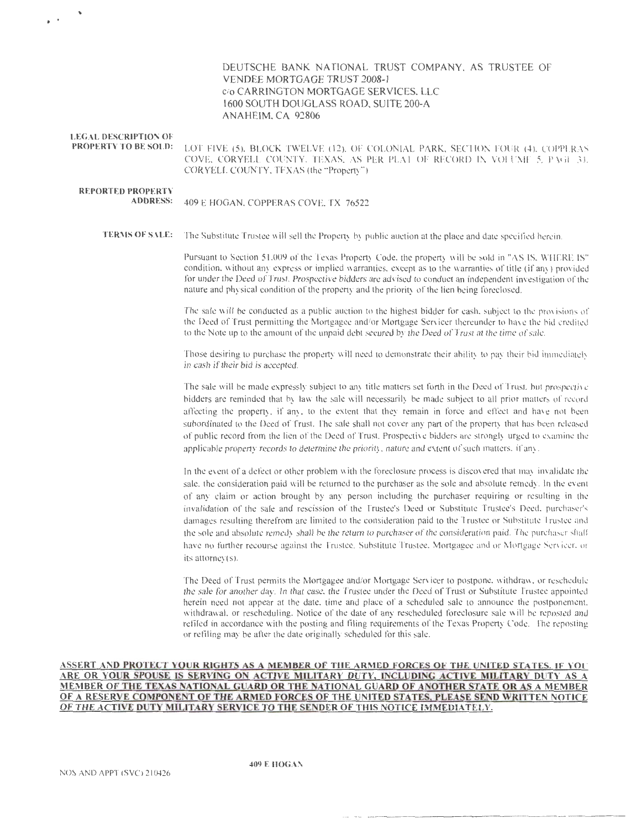### DEUTSCHE BANK NATIONAL TRUST COMPANY, AS TRUSTEE OF VENDEE MORTGAGE TRUST2008-I c/o CARRJNGTON MORTGAGE SERVICES, LLC 1600 SOUTH DOUGLASS ROAD, SUITE200-A ANAHEIM, CA 92806

## **LEGAL DESCRIPTION OF**

**PROPERTY TO BE SOLD:** LOT FIVE (5), BLOCK TWELVE (12), OF COLONIAL PARK, SECTION FOUR (4), COPPERAS COVE, CORYELL COUNTY, TEXAS, AS PER PLAT OF RECORD IN VOLUME 5. PAGE 31. CORYELL COUNTY, TEXAS (the "Property'")

# **REPORTED PROPERTY**

**ADORE** : 409 E HOGAN, COPPERAS COVE, TX 76522

**TERM OF SALE:** The Substitute Trustee will sell the Property by public auction at the place and date specified herein.

Pursuant to Section 51.009 of the Texas Property Code, the property will be sold in "AS IS, WHERE IS" condition. without any express or implied warranties. except as to the warranties of title (if any) provided for under the Deed of Trust. Prospective bidders are advised to conduct an independent investigation of the nature and physical condition of the property and the priority of the lien being foreclosed.

The sale will be conducted as a public auction to the highest bidder for cash, subject to the provisions of the Deed of Trust permitting the Mortgagee and/or Mortgage Servicer thereunder to have the bid credited to the Note up to the amount of the unpaid debt secured by the Deed of Trust at the time of sale.

Those desiring to purchase the property will need to demonstrate their ability to pay their bid immediately in cash if their bid is accepted.

The sale will be made expressly subject to any title matters set forth in the Deed of Trust, but prospective bidders are reminded that by law the sale will necessarily be made subject to all prior matters of record affecting the property, if any, to the extent that they remain in force and effect and have not been subordinated to the Deed of Trust. The sale shall not cover any part of the property that has been released of public record from the lien of the Deed of Trust. Prospective bidders are strongly urged to examine the applicable property records to determine the priority, nature and extent of such matters. if any .

In the event of a defect or other problem with the foreclosure process is discovered that may invalidate the sale, the consideration paid will be returned to the purchaser as the sole and absolute remedy. In the event of any claim or action brought by any person including the purchaser requiring or resulting in the invalidation of the sale and rescission of the Trustee's Deed or Substitute Trustee's Deed, purchaser's damages resulting therefrom are limited to the consideration paid to the Trustee or Substitute Trustee and the sole and absolute remedy shall be the return to purchaser of the consideration paid. The purchaser shall have no further recourse against the Trustee, Substitute Trustee, Mortgagee and or Mortgage Servicer, or its attomey(s).

The Deed of Trust permits the Mortgagee and/or Mortgage Servicer to postpone, withdraw, or reschedule the sale for another day. In that case, the Trustee under the Deed of Trust or Substitute Trustee appointed herein need not appear at the date, time and place of a scheduled sale to announce the postponement. withdrawal, or rescheduling. Notice of the date of any rescheduled foreclosure sale will be reposted and refiled in accordance with the posting and filing requirements of the Texas Property Code. The reposting or refiling may be after the date originally scheduled for this sale.

#### ASSERT AND PROTECT YOUR RIGHTS AS A MEMBER OF THE ARMED FORCES OF THE UNITED STATES. IF YOU ARE OR YOUR SPOUSE IS SERVING ON ACTIVE MILITARY DUTY, INCLUDING ACTIVE MILITARY DUTY AS A MEMBER OF THE TEXAS NATIONAL GUARD OR THE NATIONAL GUARD OF ANOTHER STATE OR AS A MEMBER OF A RESERVE COMPONENT OF THE ARMED FORCES OF THE UNITED STATES, PLEASE SEND WRITTEN NOTICE OF THE ACTIVE DUTY MILITARY SERVICE TO THE SENDER OF THIS NOTICE IMMEDIATELY.

409 E **HOGAN**